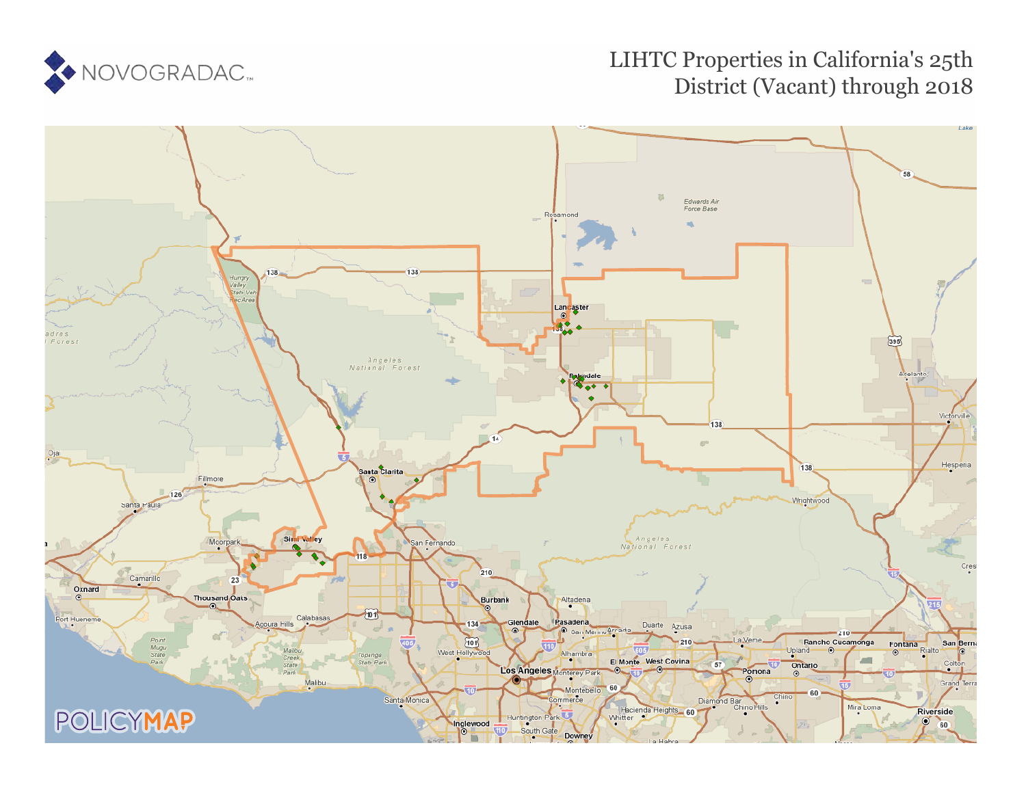

## LIHTC Properties in California's 25th District (Vacant) through 2018

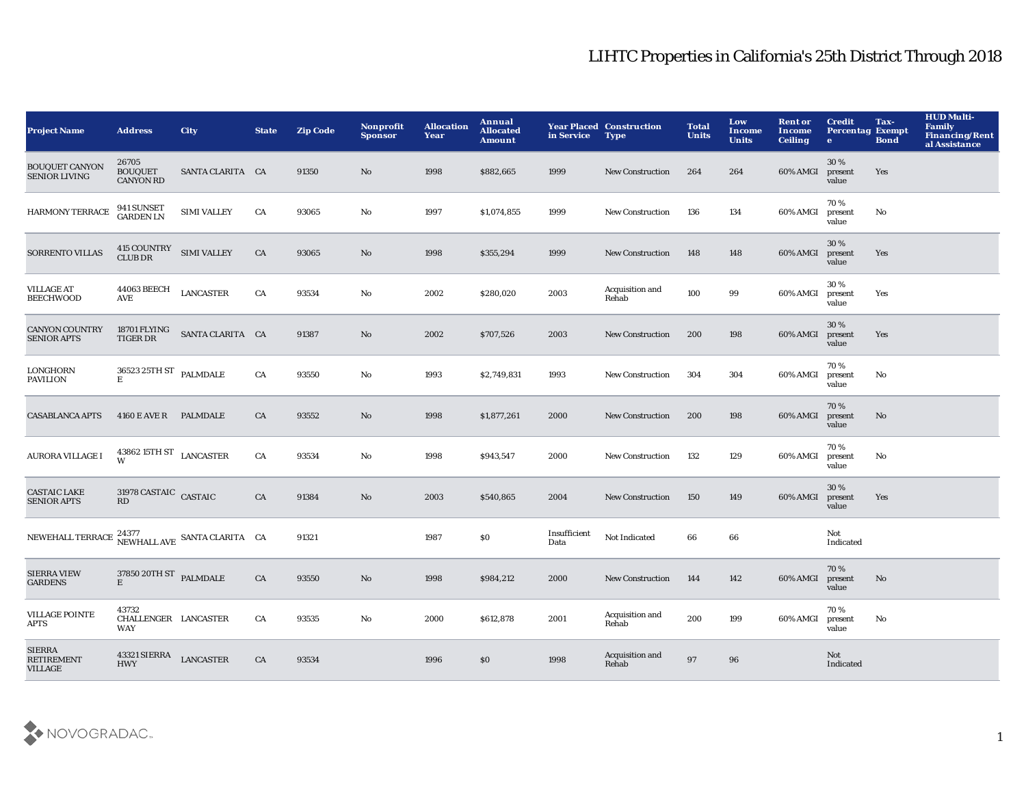## LIHTC Properties in California's 25th District Through 2018

| <b>Project Name</b>                                                            | <b>Address</b>                                      | City               | <b>State</b> | <b>Zip Code</b> | Nonprofit<br><b>Sponsor</b> | <b>Allocation</b><br>Year | Annual<br><b>Allocated</b><br><b>Amount</b> | in Service           | <b>Year Placed Construction</b><br><b>Type</b> | <b>Total</b><br><b>Units</b> | Low<br>Income<br><b>Units</b> | <b>Rent or</b><br>Income<br><b>Ceiling</b> | <b>Credit</b><br><b>Percentag Exempt</b><br>$\bullet$ | Tax-<br><b>Bond</b> | <b>HUD Multi-</b><br><b>Family</b><br><b>Financing/Rent</b><br>al Assistance |
|--------------------------------------------------------------------------------|-----------------------------------------------------|--------------------|--------------|-----------------|-----------------------------|---------------------------|---------------------------------------------|----------------------|------------------------------------------------|------------------------------|-------------------------------|--------------------------------------------|-------------------------------------------------------|---------------------|------------------------------------------------------------------------------|
| <b>BOUQUET CANYON</b><br><b>SENIOR LIVING</b>                                  | 26705<br><b>BOUQUET</b><br><b>CANYON RD</b>         | SANTA CLARITA CA   |              | 91350           | No                          | 1998                      | \$882,665                                   | 1999                 | <b>New Construction</b>                        | 264                          | 264                           | 60% AMGI                                   | 30%<br>present<br>value                               | Yes                 |                                                                              |
| <b>HARMONY TERRACE</b>                                                         | 941 SUNSET<br>GARDEN LN                             | <b>SIMI VALLEY</b> | CA           | 93065           | No                          | 1997                      | \$1,074,855                                 | 1999                 | <b>New Construction</b>                        | 136                          | 134                           | 60% AMGI                                   | 70%<br>present<br>value                               | No                  |                                                                              |
| <b>SORRENTO VILLAS</b>                                                         | $415$ COUNTRY $\;$ SIMI VALLEY CLUB DR              |                    | CA           | 93065           | No                          | 1998                      | \$355,294                                   | 1999                 | <b>New Construction</b>                        | 148                          | 148                           | 60% AMGI                                   | 30%<br>present<br>value                               | Yes                 |                                                                              |
| <b>VILLAGE AT</b><br><b>BEECHWOOD</b>                                          | <b>44063 BEECH</b><br><b>AVE</b>                    | <b>LANCASTER</b>   | CA           | 93534           | No                          | 2002                      | \$280,020                                   | 2003                 | Acquisition and<br>Rehab                       | 100                          | 99                            | 60% AMGI                                   | 30%<br>present<br>value                               | Yes                 |                                                                              |
| <b>CANYON COUNTRY</b><br><b>SENIOR APTS</b>                                    | 18701 FLYING<br>TIGER DR                            | SANTA CLARITA CA   |              | 91387           | No                          | 2002                      | \$707,526                                   | 2003                 | <b>New Construction</b>                        | 200                          | 198                           | 60% AMGI                                   | 30%<br>present<br>value                               | Yes                 |                                                                              |
| LONGHORN<br>PAVILION                                                           | $36523\,25 \mathrm{TH}\,\mathrm{ST}$ PALMDALE<br>E. |                    | CA           | 93550           | No                          | 1993                      | \$2,749,831                                 | 1993                 | <b>New Construction</b>                        | 304                          | 304                           | 60% AMGI                                   | 70%<br>present<br>value                               | No                  |                                                                              |
| <b>CASABLANCA APTS</b>                                                         | 4160 E AVE R PALMDALE                               |                    | CA           | 93552           | No                          | 1998                      | \$1,877,261                                 | 2000                 | <b>New Construction</b>                        | 200                          | 198                           | 60% AMGI                                   | 70%<br>present<br>value                               | No                  |                                                                              |
| <b>AURORA VILLAGE I</b>                                                        | $43862\ 15 \mathrm{TH}\ \mathrm{ST}$ LANCASTER<br>W |                    | CA           | 93534           | No                          | 1998                      | \$943,547                                   | 2000                 | <b>New Construction</b>                        | 132                          | 129                           | 60% AMGI                                   | 70%<br>present<br>value                               | No                  |                                                                              |
| <b>CASTAIC LAKE</b><br><b>SENIOR APTS</b>                                      | $31978$ CASTAIC $\,$ CASTAIC $\,$<br>RD             |                    | CA           | 91384           | No                          | 2003                      | \$540,865                                   | 2004                 | <b>New Construction</b>                        | 150                          | 149                           | 60% AMGI                                   | 30 %<br>present<br>value                              | Yes                 |                                                                              |
| NEWEHALL TERRACE $\frac{24377}{\text{NEWHALL} \text{ AVE}}$ SANTA CLARITA – CA |                                                     |                    |              | 91321           |                             | 1987                      | $\$0$                                       | Insufficient<br>Data | Not Indicated                                  | 66                           | 66                            |                                            | Not<br>Indicated                                      |                     |                                                                              |
| <b>SIERRA VIEW</b><br><b>GARDENS</b>                                           | 37850 20TH ST PALMDALE<br>$\mathbf E$               |                    | CA           | 93550           | No                          | 1998                      | \$984,212                                   | 2000                 | <b>New Construction</b>                        | 144                          | 142                           | 60% AMGI                                   | 70%<br>present<br>value                               | No                  |                                                                              |
| <b>VILLAGE POINTE</b><br><b>APTS</b>                                           | 43732<br>CHALLENGER LANCASTER<br><b>WAY</b>         |                    | CA           | 93535           | No                          | 2000                      | \$612,878                                   | 2001                 | Acquisition and<br>Rehab                       | 200                          | 199                           | 60% AMGI                                   | 70%<br>present<br>value                               | No                  |                                                                              |
| <b>SIERRA</b><br><b>RETIREMENT</b><br><b>VILLAGE</b>                           | 43321 SIERRA<br><b>HWY</b>                          | <b>LANCASTER</b>   | CA           | 93534           |                             | 1996                      | \$0                                         | 1998                 | Acquisition and<br>Rehab                       | 97                           | 96                            |                                            | Not<br>Indicated                                      |                     |                                                                              |

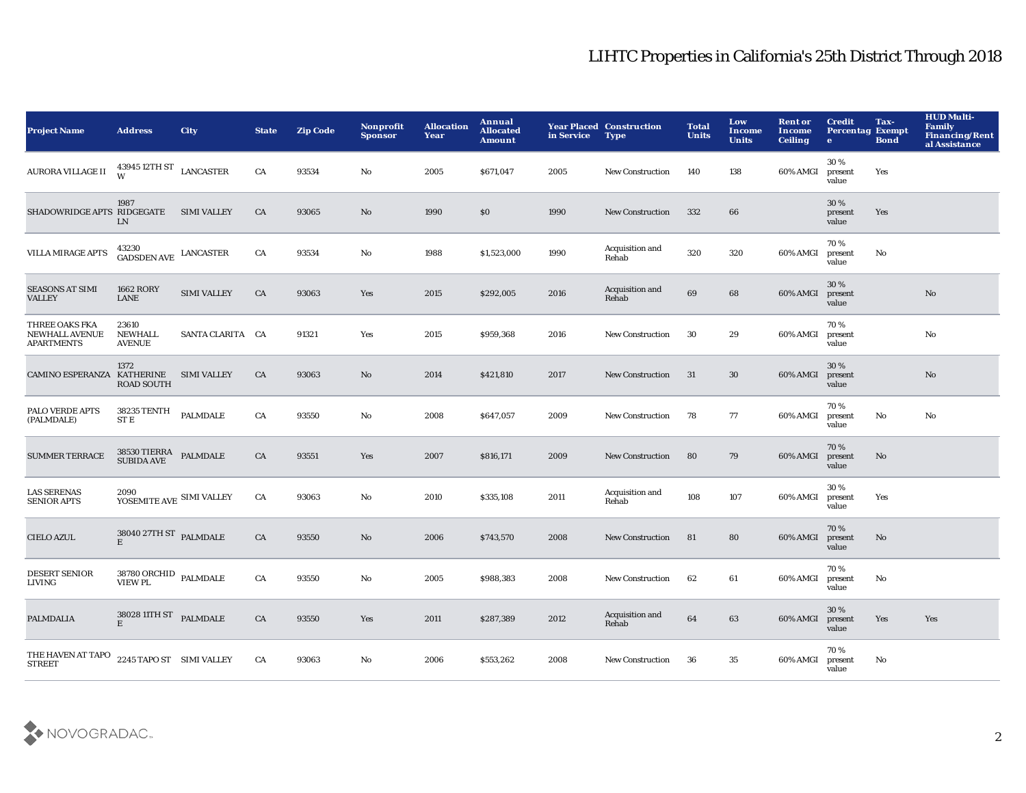## LIHTC Properties in California's 25th District Through 2018

| <b>Project Name</b>                                          | <b>Address</b>                                                                                                  | <b>City</b>        | <b>State</b> | <b>Zip Code</b> | Nonprofit<br><b>Sponsor</b> | <b>Allocation</b><br>Year | Annual<br><b>Allocated</b><br><b>Amount</b> | in Service | <b>Year Placed Construction</b><br><b>Type</b> | <b>Total</b><br><b>Units</b> | Low<br>Income<br><b>Units</b> | <b>Rent or</b><br>Income<br><b>Ceiling</b> | <b>Credit</b><br><b>Percentag Exempt</b><br>$\bullet$ | Tax-<br><b>Bond</b> | <b>HUD Multi-</b><br><b>Family</b><br><b>Financing/Rent</b><br>al Assistance |
|--------------------------------------------------------------|-----------------------------------------------------------------------------------------------------------------|--------------------|--------------|-----------------|-----------------------------|---------------------------|---------------------------------------------|------------|------------------------------------------------|------------------------------|-------------------------------|--------------------------------------------|-------------------------------------------------------|---------------------|------------------------------------------------------------------------------|
| <b>AURORA VILLAGE II</b>                                     | 43945 12TH ST LANCASTER                                                                                         |                    | CA           | 93534           | No                          | 2005                      | \$671,047                                   | 2005       | New Construction                               | 140                          | 138                           | 60% AMGI                                   | 30%<br>present<br>value                               | Yes                 |                                                                              |
| SHADOWRIDGE APTS RIDGEGATE                                   | 1987<br>LN                                                                                                      | <b>SIMI VALLEY</b> | CA           | 93065           | No                          | 1990                      | \$0                                         | 1990       | New Construction                               | 332                          | 66                            |                                            | 30%<br>present<br>value                               | Yes                 |                                                                              |
| <b>VILLA MIRAGE APTS</b>                                     | 43230<br>GADSDEN AVE LANCASTER                                                                                  |                    | CA           | 93534           | $\mathbf{N}\mathbf{o}$      | 1988                      | \$1,523,000                                 | 1990       | Acquisition and<br>Rehab                       | 320                          | 320                           | 60% AMGI                                   | 70%<br>present<br>value                               | $\mathbf {No}$      |                                                                              |
| <b>SEASONS AT SIMI</b><br><b>VALLEY</b>                      | <b>1662 RORY</b><br>LANE                                                                                        | <b>SIMI VALLEY</b> | ${\rm CA}$   | 93063           | Yes                         | 2015                      | \$292,005                                   | 2016       | Acquisition and<br>Rehab                       | 69                           | 68                            | 60% AMGI                                   | 30%<br>present<br>value                               |                     | $\mathbf{N}\mathbf{o}$                                                       |
| THREE OAKS FKA<br><b>NEWHALL AVENUE</b><br><b>APARTMENTS</b> | 23610<br><b>NEWHALL</b><br><b>AVENUE</b>                                                                        | SANTA CLARITA CA   |              | 91321           | Yes                         | 2015                      | \$959,368                                   | 2016       | <b>New Construction</b>                        | 30                           | 29                            | 60% AMGI                                   | 70%<br>present<br>value                               |                     | $\mathbf{N}\mathbf{o}$                                                       |
| <b>CAMINO ESPERANZA</b>                                      | 1372<br><b>KATHERINE</b><br><b>ROAD SOUTH</b>                                                                   | <b>SIMI VALLEY</b> | CA           | 93063           | No                          | 2014                      | \$421,810                                   | 2017       | <b>New Construction</b>                        | 31                           | 30                            | 60% AMGI                                   | 30%<br>present<br>value                               |                     | No                                                                           |
| PALO VERDE APTS<br>(PALMDALE)                                | 38235 TENTH<br><b>STE</b>                                                                                       | PALMDALE           | CA           | 93550           | No                          | 2008                      | \$647,057                                   | 2009       | <b>New Construction</b>                        | 78                           | 77                            | 60% AMGI                                   | 70%<br>present<br>value                               | No                  | No                                                                           |
| <b>SUMMER TERRACE</b>                                        | $\begin{tabular}{ll} 38530 TIERRA & \textbf{PALMDALE} \\ \textbf{SUBIDA AVE} & \textbf{PALMDALE} \end{tabular}$ |                    | CA           | 93551           | Yes                         | 2007                      | \$816,171                                   | 2009       | New Construction                               | 80                           | 79                            | 60% AMGI                                   | 70%<br>present<br>value                               | $\mathbf{No}$       |                                                                              |
| <b>LAS SERENAS</b><br><b>SENIOR APTS</b>                     | 2090<br>YOSEMITE AVE SIMI VALLEY                                                                                |                    | CA           | 93063           | No                          | 2010                      | \$335,108                                   | 2011       | Acquisition and<br>Rehab                       | 108                          | 107                           | 60% AMGI                                   | 30%<br>present<br>value                               | Yes                 |                                                                              |
| <b>CIELO AZUL</b>                                            | $38040\,27 \mathrm{TH}\,\mathrm{ST}$ PALMDALE<br>$\mathbf E$                                                    |                    | ${\rm CA}$   | 93550           | No                          | 2006                      | \$743,570                                   | 2008       | New Construction                               | 81                           | 80                            | 60% AMGI                                   | 70%<br>present<br>value                               | $\mathbf{No}$       |                                                                              |
| <b>DESERT SENIOR</b><br>LIVING                               | $38780$ ORCHID $\;$ PALMDALE VIEW PL                                                                            |                    | CA           | 93550           | No                          | 2005                      | \$988,383                                   | 2008       | <b>New Construction</b>                        | 62                           | 61                            | 60% AMGI                                   | 70%<br>present<br>value                               | No                  |                                                                              |
| PALMDALIA                                                    | $38028$ 11TH ST $\;$ PALMDALE<br>E                                                                              |                    | CA           | 93550           | Yes                         | 2011                      | \$287,389                                   | 2012       | Acquisition and<br>Rehab                       | 64                           | 63                            | 60% AMGI                                   | 30 %<br>present<br>value                              | Yes                 | Yes                                                                          |
| THE HAVEN AT TAPO<br><b>STREET</b>                           | 2245 TAPO ST SIMI VALLEY                                                                                        |                    | CA           | 93063           | No                          | 2006                      | \$553,262                                   | 2008       | <b>New Construction</b>                        | 36                           | 35                            | 60% AMGI                                   | 70%<br>present<br>value                               | No                  |                                                                              |